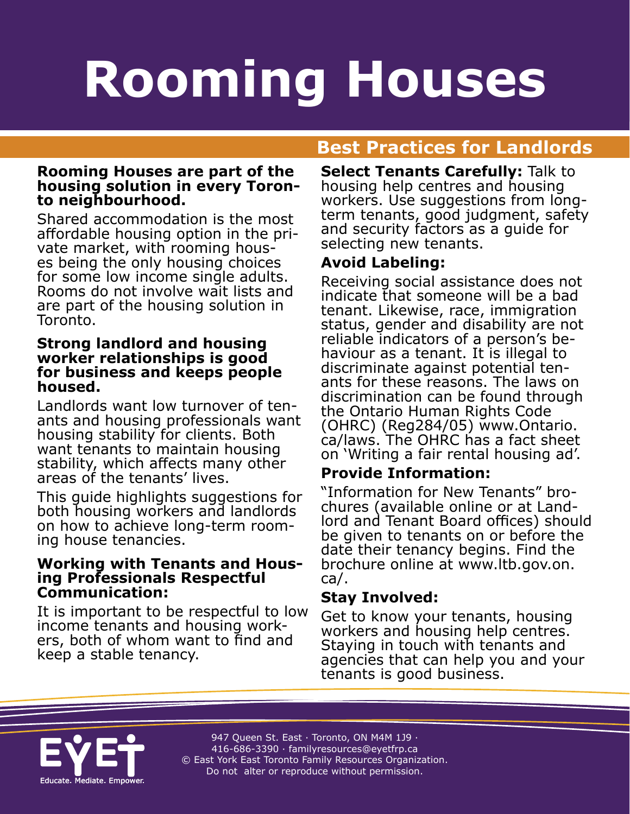# **Housing Professionals Helping People on Rooming Houses**

## **A Rest Practices for Landlords**

## **Rooming Houses are part of the housing solution in every Toron- to neighbourhood.**

Shared accommodation is the most affordable housing option in the private market, with rooming houses being the only housing choices for some low income single adults. Rooms do not involve wait lists and are part of the housing solution in Toronto.

#### **Strong landlord and housing worker relationships is good for business and keeps people housed.**

Landlords want low turnover of tenants and housing professionals want housing stability for clients. Both want tenants to maintain housing stability, which affects many other areas of the tenants' lives.

This guide highlights suggestions for both housing workers and landlords on how to achieve long-term rooming house tenancies.

## **Working with Tenants and Hous- ing Professionals Respectful Communication:**

It is important to be respectful to low income tenants and housing work- ers, both of whom want to find and keep a stable tenancy.

**Select Tenants Carefully:** Talk to housing help centres and housing workers. Use suggestions from longterm tenants, good judgment, safety and security factors as a guide for selecting new tenants.

#### **Avoid Labeling:**

Receiving social assistance does not indicate that someone will be a bad tenant. Likewise, race, immigration status, gender and disability are not<br>reliable indicators of a person's behaviour as a tenant. It is illegal to discriminate against potential tenants for these reasons. The laws on discrimination can be found through the Ontario Human Rights Code (OHRC) (Reg284/05) www.Ontario. ca/laws. The OHRC has a fact sheet on 'Writing a fair rental housing ad'.

#### **Provide Information:**

"Information for New Tenants" brochures (available online or at Landlord and Tenant Board offices) should be given to tenants on or before the date their tenancy begins. Find the brochure online at www.ltb.gov.on. ca/.

#### **Stay Involved:**

Get to know your tenants, housing workers and housing help centres. Staying in touch with tenants and agencies that can help you and your tenants is good business.



947 Queen St. East · Toronto, ON M4M 1J9 · 416-686-3390 · [familyresources@eyetfrp.ca](mailto:familyresources@eyetfrp.ca) © East York East Toronto Family Resources Organization. Do not alter or reproduce without permission.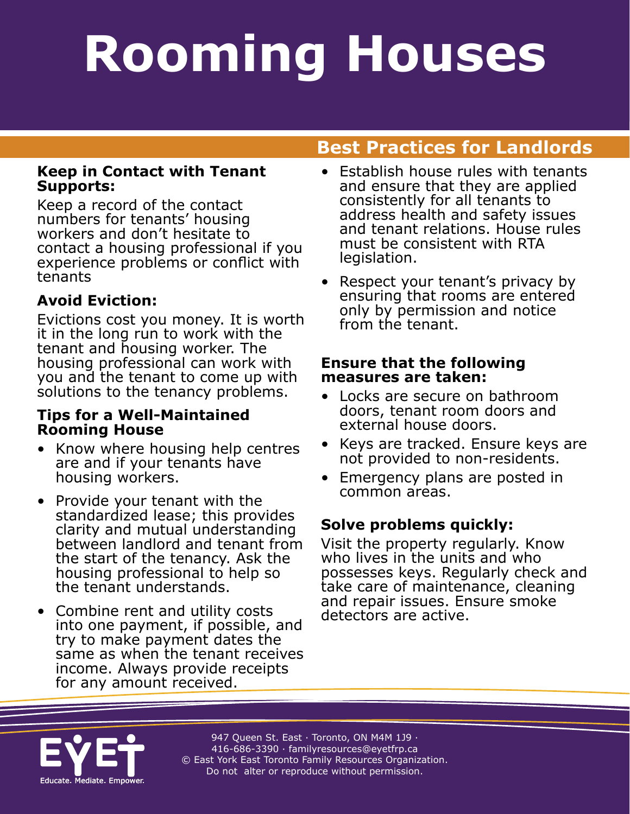### **Rooming Houses noming House OW and ODSP Rooming Houses Rooming Houses**

## **A Rest Practices for Landlords**

#### **Keep in Contact with Tenant Supports:**

Keep a record of the contact numbers for tenants' housing workers and don't hesitate to contact a housing professional if you experience problems or conflict with tenants

### **Avoid Eviction:**

Evictions cost you money. It is worth it in the long run to work with the tenant and housing worker. The housing professional can work with you and the tenant to come up with solutions to the tenancy problems.

#### **Tips for a Well-Maintained Rooming House**

- Know where housing help centres are and if your tenants have housing workers.
- Provide your tenant with the standardized lease; this provides clarity and mutual understanding between landlord and tenant from the start of the tenancy. Ask the housing professional to help so the tenant understands.
- Combine rent and utility costs into one payment, if possible, and try to make payment dates the same as when the tenant receives income. Always provide receipts for any amount received.
- Establish house rules with tenants and ensure that they are applied consistently for all tenants to address health and safety issues and tenant relations. House rules must be consistent with RTA legislation.
- Respect your tenant's privacy by ensuring that rooms are entered only by permission and notice from the tenant.

#### **Ensure that the following measures are taken:**

- Locks are secure on bathroom doors, tenant room doors and external house doors.
- Keys are tracked. Ensure keys are not provided to non-residents.
- Emergency plans are posted in common areas.

### **Solve problems quickly:**

Visit the property regularly. Know who lives in the units and who possesses keys. Regularly check and take care of maintenance, cleaning and repair issues. Ensure smoke detectors are active.



947 Queen St. East · Toronto, ON M4M 1J9 · 416-686-3390 · [familyresources@eyetfrp.ca](mailto:familyresources@eyetfrp.ca) © East York East Toronto Family Resources Organization. Do not alter or reproduce without permission.